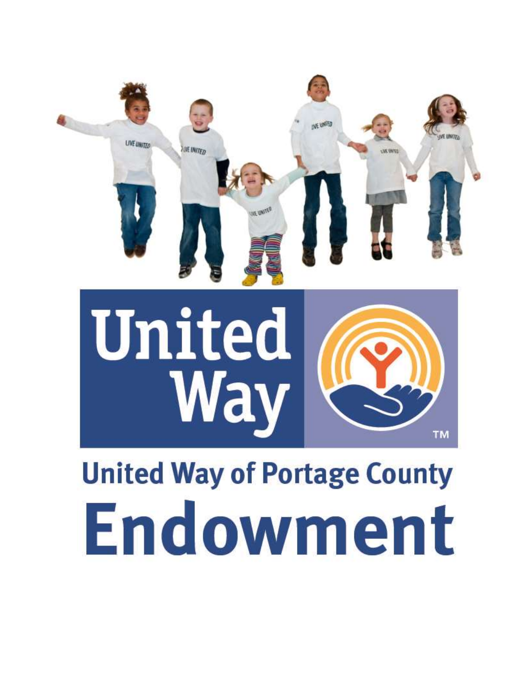



# **United Way of Portage County** Endowment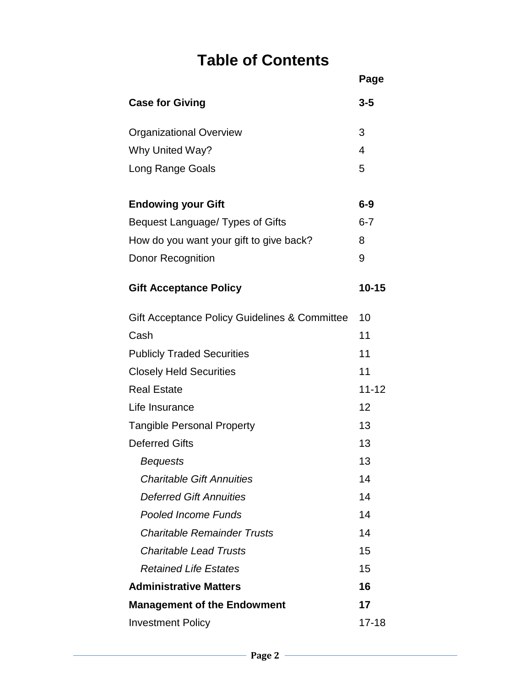# **Table of Contents**

|                                               | Page      |
|-----------------------------------------------|-----------|
| <b>Case for Giving</b>                        | $3 - 5$   |
| <b>Organizational Overview</b>                | 3         |
| Why United Way?                               | 4         |
| Long Range Goals                              | 5         |
| <b>Endowing your Gift</b>                     | $6-9$     |
| Bequest Language/ Types of Gifts              | $6 - 7$   |
| How do you want your gift to give back?       | 8         |
| Donor Recognition                             | 9         |
| <b>Gift Acceptance Policy</b>                 | $10 - 15$ |
| Gift Acceptance Policy Guidelines & Committee | 10        |
| Cash                                          | 11        |
| <b>Publicly Traded Securities</b>             | 11        |
| <b>Closely Held Securities</b>                | 11        |
| <b>Real Estate</b>                            | $11 - 12$ |
| Life Insurance                                | 12        |
| <b>Tangible Personal Property</b>             | 13        |
| <b>Deferred Gifts</b>                         | 13        |
| <b>Bequests</b>                               | 13        |
| <b>Charitable Gift Annuities</b>              | 14        |
| <b>Deferred Gift Annuities</b>                | 14        |
| <b>Pooled Income Funds</b>                    | 14        |
| <b>Charitable Remainder Trusts</b>            | 14        |
| <b>Charitable Lead Trusts</b>                 | 15        |
| <b>Retained Life Estates</b>                  | 15        |
| <b>Administrative Matters</b>                 | 16        |
| <b>Management of the Endowment</b>            | 17        |
| <b>Investment Policy</b>                      | $17 - 18$ |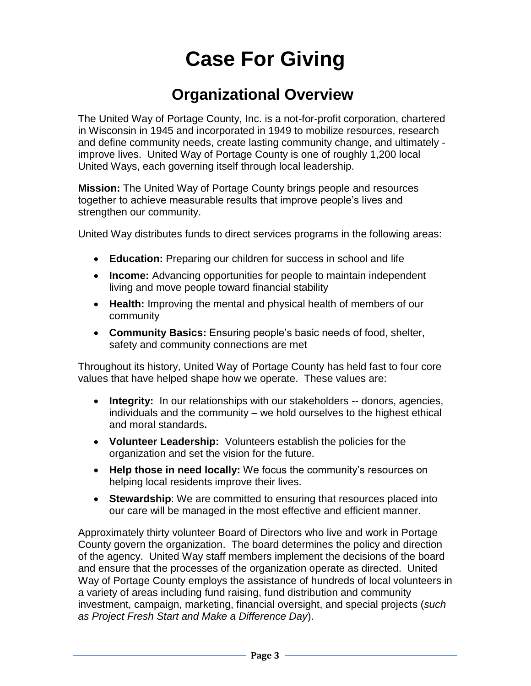# **Case For Giving**

### **Organizational Overview**

The United Way of Portage County, Inc. is a not-for-profit corporation, chartered in Wisconsin in 1945 and incorporated in 1949 to mobilize resources, research and define community needs, create lasting community change, and ultimately improve lives. United Way of Portage County is one of roughly 1,200 local United Ways, each governing itself through local leadership.

**Mission:** The United Way of Portage County brings people and resources together to achieve measurable results that improve people's lives and strengthen our community.

United Way distributes funds to direct services programs in the following areas:

- **Education:** Preparing our children for success in school and life
- **Income:** Advancing opportunities for people to maintain independent living and move people toward financial stability
- **Health:** Improving the mental and physical health of members of our community
- **Community Basics:** Ensuring people's basic needs of food, shelter, safety and community connections are met

Throughout its history, United Way of Portage County has held fast to four core values that have helped shape how we operate. These values are:

- **Integrity:** In our relationships with our stakeholders -- donors, agencies, individuals and the community – we hold ourselves to the highest ethical and moral standards**.**
- **Volunteer Leadership:** Volunteers establish the policies for the organization and set the vision for the future.
- **Help those in need locally:** We focus the community's resources on helping local residents improve their lives.
- **Stewardship:** We are committed to ensuring that resources placed into our care will be managed in the most effective and efficient manner.

Approximately thirty volunteer Board of Directors who live and work in Portage County govern the organization. The board determines the policy and direction of the agency. United Way staff members implement the decisions of the board and ensure that the processes of the organization operate as directed. United Way of Portage County employs the assistance of hundreds of local volunteers in a variety of areas including fund raising, fund distribution and community investment, campaign, marketing, financial oversight, and special projects (*such as Project Fresh Start and Make a Difference Day*).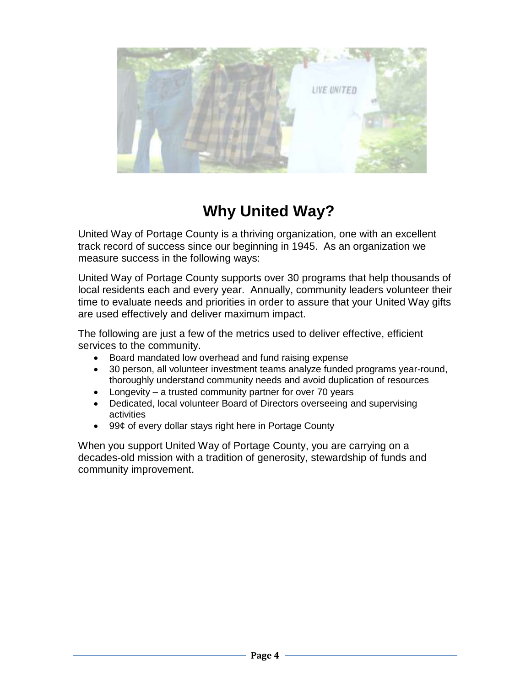

# **Why United Way?**

United Way of Portage County is a thriving organization, one with an excellent track record of success since our beginning in 1945. As an organization we measure success in the following ways:

United Way of Portage County supports over 30 programs that help thousands of local residents each and every year. Annually, community leaders volunteer their time to evaluate needs and priorities in order to assure that your United Way gifts are used effectively and deliver maximum impact.

The following are just a few of the metrics used to deliver effective, efficient services to the community.

- Board mandated low overhead and fund raising expense
- 30 person, all volunteer investment teams analyze funded programs year-round, thoroughly understand community needs and avoid duplication of resources
- Longevity a trusted community partner for over 70 years
- Dedicated, local volunteer Board of Directors overseeing and supervising activities
- 99¢ of every dollar stays right here in Portage County

When you support United Way of Portage County, you are carrying on a decades-old mission with a tradition of generosity, stewardship of funds and community improvement.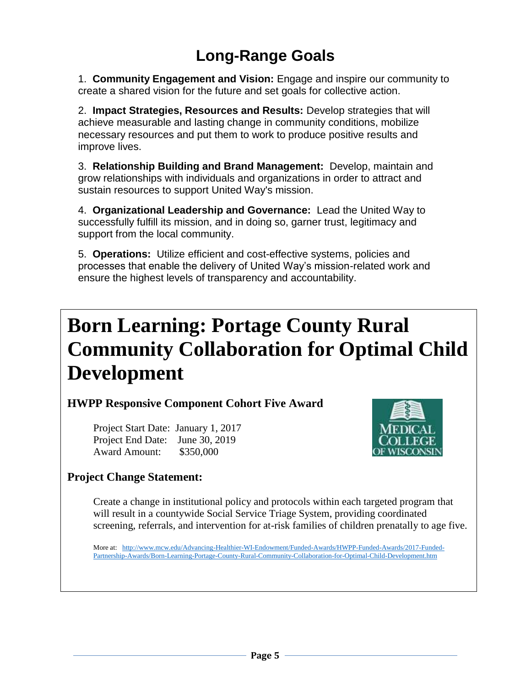# **Long-Range Goals**

1. **Community Engagement and Vision:** Engage and inspire our community to create a shared vision for the future and set goals for collective action.

2. **Impact Strategies, Resources and Results:** Develop strategies that will achieve measurable and lasting change in community conditions, mobilize necessary resources and put them to work to produce positive results and improve lives.

3. **Relationship Building and Brand Management:** Develop, maintain and grow relationships with individuals and organizations in order to attract and sustain resources to support United Way's mission.

4. **Organizational Leadership and Governance:** Lead the United Way to successfully fulfill its mission, and in doing so, garner trust, legitimacy and support from the local community.

5. **Operations:** Utilize efficient and cost-effective systems, policies and processes that enable the delivery of United Way's mission-related work and ensure the highest levels of transparency and accountability.

# **Born Learning: Portage County Rural Community Collaboration for Optimal Child Development**

**HWPP Responsive Component Cohort Five Award**

Project Start Date: January 1, 2017 Project End Date: June 30, 2019 Award Amount: \$350,000



### **Project Change Statement:**

Create a change in institutional policy and protocols within each targeted program that will result in a countywide Social Service Triage System, providing coordinated screening, referrals, and intervention for at-risk families of children prenatally to age five.

More at: [http://www.mcw.edu/Advancing-Healthier-WI-Endowment/Funded-Awards/HWPP-Funded-Awards/2017-Funded-](http://www.mcw.edu/Advancing-Healthier-WI-Endowment/Funded-Awards/HWPP-Funded-Awards/2017-Funded-Partnership-Awards/Born-Learning-Portage-County-Rural-Community-Collaboration-for-Optimal-Child-Development.htm)[Partnership-Awards/Born-Learning-Portage-County-Rural-Community-Collaboration-for-Optimal-Child-Development.htm](http://www.mcw.edu/Advancing-Healthier-WI-Endowment/Funded-Awards/HWPP-Funded-Awards/2017-Funded-Partnership-Awards/Born-Learning-Portage-County-Rural-Community-Collaboration-for-Optimal-Child-Development.htm)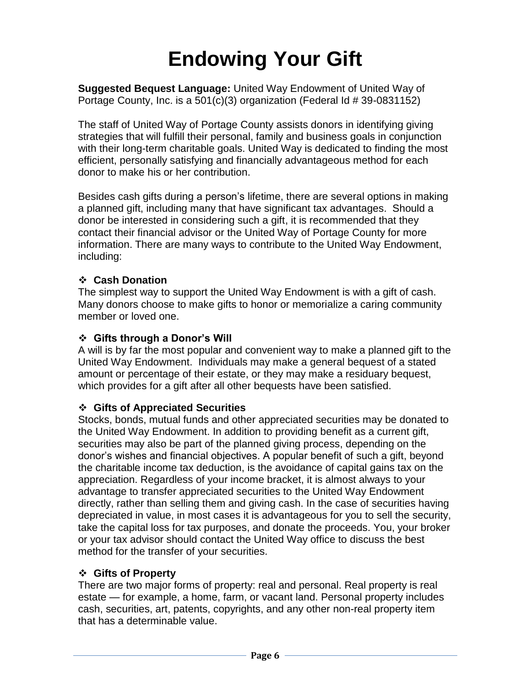# **Endowing Your Gift**

**Suggested Bequest Language:** United Way Endowment of United Way of Portage County, Inc. is a 501(c)(3) organization (Federal Id # 39-0831152)

The staff of United Way of Portage County assists donors in identifying giving strategies that will fulfill their personal, family and business goals in conjunction with their long-term charitable goals. United Way is dedicated to finding the most efficient, personally satisfying and financially advantageous method for each donor to make his or her contribution.

Besides cash gifts during a person's lifetime, there are several options in making a planned gift, including many that have significant tax advantages. Should a donor be interested in considering such a gift, it is recommended that they contact their financial advisor or the United Way of Portage County for more information. There are many ways to contribute to the United Way Endowment, including:

### **Cash Donation**

The simplest way to support the United Way Endowment is with a gift of cash. Many donors choose to make gifts to honor or memorialize a caring community member or loved one.

### **Gifts through a Donor's Will**

A will is by far the most popular and convenient way to make a planned gift to the United Way Endowment. Individuals may make a general bequest of a stated amount or percentage of their estate, or they may make a residuary bequest, which provides for a gift after all other bequests have been satisfied.

### **Gifts of Appreciated Securities**

Stocks, bonds, mutual funds and other appreciated securities may be donated to the United Way Endowment. In addition to providing benefit as a current gift, securities may also be part of the planned giving process, depending on the donor's wishes and financial objectives. A popular benefit of such a gift, beyond the charitable income tax deduction, is the avoidance of capital gains tax on the appreciation. Regardless of your income bracket, it is almost always to your advantage to transfer appreciated securities to the United Way Endowment directly, rather than selling them and giving cash. In the case of securities having depreciated in value, in most cases it is advantageous for you to sell the security, take the capital loss for tax purposes, and donate the proceeds. You, your broker or your tax advisor should contact the United Way office to discuss the best method for the transfer of your securities.

### **Gifts of Property**

There are two major forms of property: real and personal. Real property is real estate — for example, a home, farm, or vacant land. Personal property includes cash, securities, art, patents, copyrights, and any other non-real property item that has a determinable value.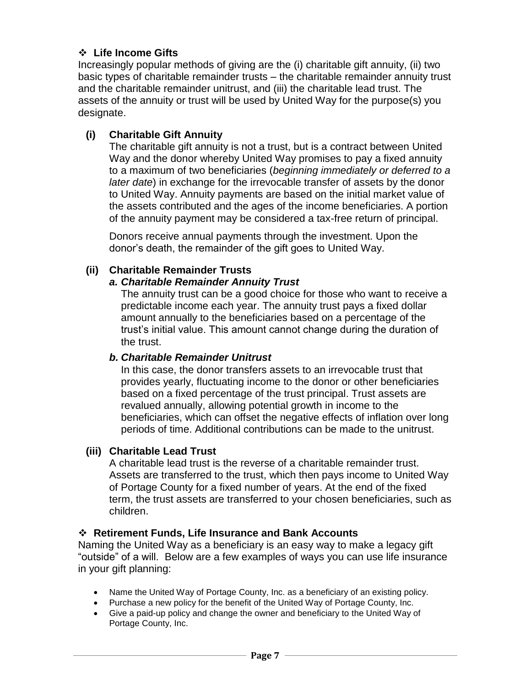### **Life Income Gifts**

Increasingly popular methods of giving are the (i) charitable gift annuity, (ii) two basic types of charitable remainder trusts – the charitable remainder annuity trust and the charitable remainder unitrust, and (iii) the charitable lead trust. The assets of the annuity or trust will be used by United Way for the purpose(s) you designate.

### **(i) Charitable Gift Annuity**

The charitable gift annuity is not a trust, but is a contract between United Way and the donor whereby United Way promises to pay a fixed annuity to a maximum of two beneficiaries (*beginning immediately or deferred to a later date*) in exchange for the irrevocable transfer of assets by the donor to United Way. Annuity payments are based on the initial market value of the assets contributed and the ages of the income beneficiaries. A portion of the annuity payment may be considered a tax-free return of principal.

Donors receive annual payments through the investment. Upon the donor's death, the remainder of the gift goes to United Way.

### **(ii) Charitable Remainder Trusts**

### *a. Charitable Remainder Annuity Trust*

The annuity trust can be a good choice for those who want to receive a predictable income each year. The annuity trust pays a fixed dollar amount annually to the beneficiaries based on a percentage of the trust's initial value. This amount cannot change during the duration of the trust.

#### *b. Charitable Remainder Unitrust*

In this case, the donor transfers assets to an irrevocable trust that provides yearly, fluctuating income to the donor or other beneficiaries based on a fixed percentage of the trust principal. Trust assets are revalued annually, allowing potential growth in income to the beneficiaries, which can offset the negative effects of inflation over long periods of time. Additional contributions can be made to the unitrust.

#### **(iii) Charitable Lead Trust**

A charitable lead trust is the reverse of a charitable remainder trust. Assets are transferred to the trust, which then pays income to United Way of Portage County for a fixed number of years. At the end of the fixed term, the trust assets are transferred to your chosen beneficiaries, such as children.

#### **Retirement Funds, Life Insurance and Bank Accounts**

Naming the United Way as a beneficiary is an easy way to make a legacy gift "outside" of a will. Below are a few examples of ways you can use life insurance in your gift planning:

- Name the United Way of Portage County, Inc. as a beneficiary of an existing policy.
- Purchase a new policy for the benefit of the United Way of Portage County, Inc.
- Give a paid-up policy and change the owner and beneficiary to the United Way of Portage County, Inc.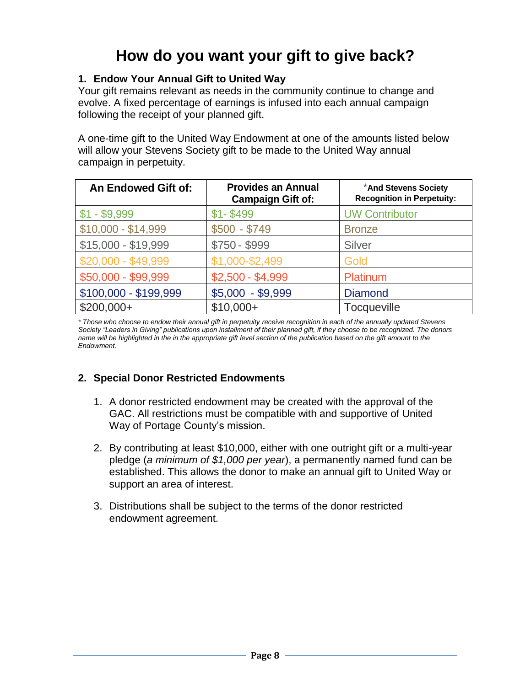# **How do you want your gift to give back?**

### **1. Endow Your Annual Gift to United Way**

Your gift remains relevant as needs in the community continue to change and evolve. A fixed percentage of earnings is infused into each annual campaign following the receipt of your planned gift.

A one-time gift to the United Way Endowment at one of the amounts listed below will allow your Stevens Society gift to be made to the United Way annual campaign in perpetuity.

| <b>An Endowed Gift of:</b> | <b>Provides an Annual</b><br><b>Campaign Gift of:</b> | *And Stevens Society<br><b>Recognition in Perpetuity:</b> |
|----------------------------|-------------------------------------------------------|-----------------------------------------------------------|
| $$1 - $9,999$              | $$1 - $499$                                           | <b>UW Contributor</b>                                     |
| $$10,000 - $14,999$        | $$500 - $749$                                         | <b>Bronze</b>                                             |
| \$15,000 - \$19,999        | \$750 - \$999                                         | Silver                                                    |
| \$20,000 - \$49,999        | \$1,000-\$2,499                                       | Gold                                                      |
| \$50,000 - \$99,999        | $$2,500 - $4,999$                                     | Platinum                                                  |
| \$100,000 - \$199,999      | $$5,000 - $9,999$                                     | <b>Diamond</b>                                            |
| $$200,000+$                | $$10,000+$                                            | <b>Tocqueville</b>                                        |

*\* Those who choose to endow their annual gift in perpetuity receive recognition in each of the annually updated Stevens Society "Leaders in Giving" publications upon installment of their planned gift, if they choose to be recognized. The donors name will be highlighted in the in the appropriate gift level section of the publication based on the gift amount to the Endowment.*

### **2. Special Donor Restricted Endowments**

- 1. A donor restricted endowment may be created with the approval of the GAC. All restrictions must be compatible with and supportive of United Way of Portage County's mission.
- 2. By contributing at least \$10,000, either with one outright gift or a multi-year pledge (*a minimum of \$1,000 per year*), a permanently named fund can be established. This allows the donor to make an annual gift to United Way or support an area of interest.
- 3. Distributions shall be subject to the terms of the donor restricted endowment agreement.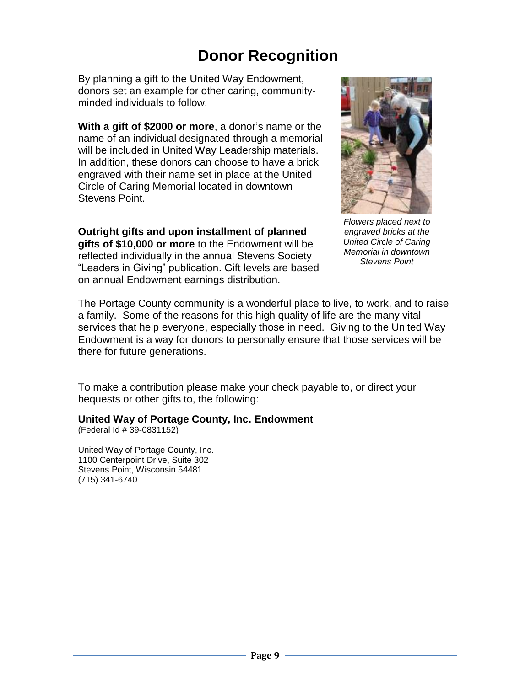# **Donor Recognition**

By planning a gift to the United Way Endowment, donors set an example for other caring, communityminded individuals to follow.

**With a gift of \$2000 or more**, a donor's name or the name of an individual designated through a memorial will be included in United Way Leadership materials. In addition, these donors can choose to have a brick engraved with their name set in place at the United Circle of Caring Memorial located in downtown Stevens Point.

**Outright gifts and upon installment of planned gifts of \$10,000 or more** to the Endowment will be reflected individually in the annual Stevens Society "Leaders in Giving" publication. Gift levels are based on annual Endowment earnings distribution.



*Flowers placed next to engraved bricks at the United Circle of Caring Memorial in downtown Stevens Point*

The Portage County community is a wonderful place to live, to work, and to raise a family. Some of the reasons for this high quality of life are the many vital services that help everyone, especially those in need. Giving to the United Way Endowment is a way for donors to personally ensure that those services will be there for future generations.

To make a contribution please make your check payable to, or direct your bequests or other gifts to, the following:

**United Way of Portage County, Inc. Endowment**

(Federal Id # 39-0831152)

United Way of Portage County, Inc. 1100 Centerpoint Drive, Suite 302 Stevens Point, Wisconsin 54481 (715) 341-6740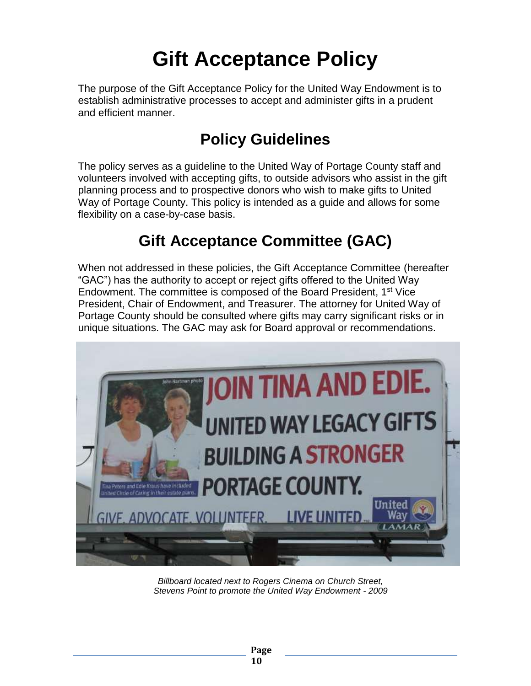# **Gift Acceptance Policy**

The purpose of the Gift Acceptance Policy for the United Way Endowment is to establish administrative processes to accept and administer gifts in a prudent and efficient manner.

# **Policy Guidelines**

The policy serves as a guideline to the United Way of Portage County staff and volunteers involved with accepting gifts, to outside advisors who assist in the gift planning process and to prospective donors who wish to make gifts to United Way of Portage County. This policy is intended as a guide and allows for some flexibility on a case-by-case basis.

# **Gift Acceptance Committee (GAC)**

When not addressed in these policies, the Gift Acceptance Committee (hereafter "GAC") has the authority to accept or reject gifts offered to the United Way Endowment. The committee is composed of the Board President, 1st Vice President, Chair of Endowment, and Treasurer. The attorney for United Way of Portage County should be consulted where gifts may carry significant risks or in unique situations. The GAC may ask for Board approval or recommendations.



*Billboard located next to Rogers Cinema on Church Street, Stevens Point to promote the United Way Endowment - 2009*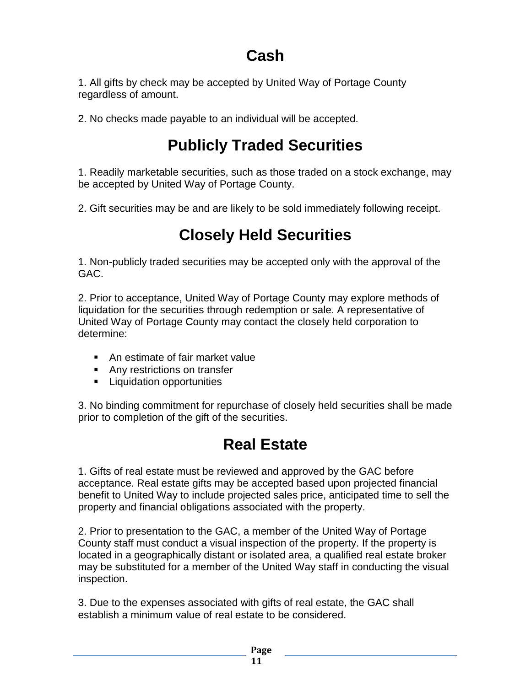# **Cash**

1. All gifts by check may be accepted by United Way of Portage County regardless of amount.

2. No checks made payable to an individual will be accepted.

# **Publicly Traded Securities**

1. Readily marketable securities, such as those traded on a stock exchange, may be accepted by United Way of Portage County.

2. Gift securities may be and are likely to be sold immediately following receipt.

# **Closely Held Securities**

1. Non-publicly traded securities may be accepted only with the approval of the GAC.

2. Prior to acceptance, United Way of Portage County may explore methods of liquidation for the securities through redemption or sale. A representative of United Way of Portage County may contact the closely held corporation to determine:

- **An estimate of fair market value**
- **Any restrictions on transfer**
- **Liquidation opportunities**

3. No binding commitment for repurchase of closely held securities shall be made prior to completion of the gift of the securities.

# **Real Estate**

1. Gifts of real estate must be reviewed and approved by the GAC before acceptance. Real estate gifts may be accepted based upon projected financial benefit to United Way to include projected sales price, anticipated time to sell the property and financial obligations associated with the property.

2. Prior to presentation to the GAC, a member of the United Way of Portage County staff must conduct a visual inspection of the property. If the property is located in a geographically distant or isolated area, a qualified real estate broker may be substituted for a member of the United Way staff in conducting the visual inspection.

3. Due to the expenses associated with gifts of real estate, the GAC shall establish a minimum value of real estate to be considered.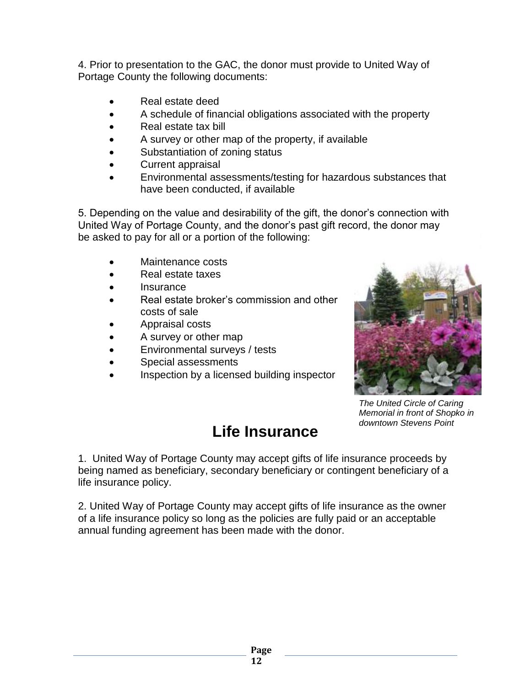4. Prior to presentation to the GAC, the donor must provide to United Way of Portage County the following documents:

- Real estate deed
- A schedule of financial obligations associated with the property
- Real estate tax bill
- A survey or other map of the property, if available
- Substantiation of zoning status
- Current appraisal
- Environmental assessments/testing for hazardous substances that have been conducted, if available

5. Depending on the value and desirability of the gift, the donor's connection with United Way of Portage County, and the donor's past gift record, the donor may be asked to pay for all or a portion of the following:

- Maintenance costs
- Real estate taxes
- **Insurance**
- Real estate broker's commission and other costs of sale
- Appraisal costs
- A survey or other map
- Environmental surveys / tests
- Special assessments
- Inspection by a licensed building inspector



*The United Circle of Caring Memorial in front of Shopko in downtown Stevens Point*

### **Life Insurance**

1. United Way of Portage County may accept gifts of life insurance proceeds by being named as beneficiary, secondary beneficiary or contingent beneficiary of a life insurance policy.

2. United Way of Portage County may accept gifts of life insurance as the owner of a life insurance policy so long as the policies are fully paid or an acceptable annual funding agreement has been made with the donor.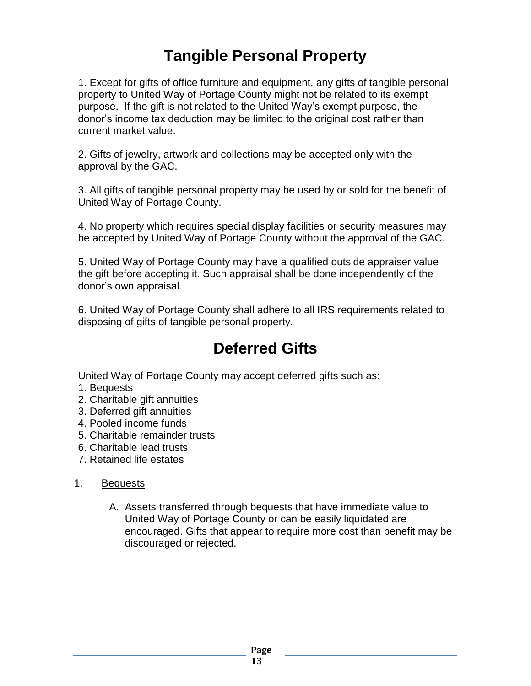# **Tangible Personal Property**

1. Except for gifts of office furniture and equipment, any gifts of tangible personal property to United Way of Portage County might not be related to its exempt purpose. If the gift is not related to the United Way's exempt purpose, the donor's income tax deduction may be limited to the original cost rather than current market value.

2. Gifts of jewelry, artwork and collections may be accepted only with the approval by the GAC.

3. All gifts of tangible personal property may be used by or sold for the benefit of United Way of Portage County.

4. No property which requires special display facilities or security measures may be accepted by United Way of Portage County without the approval of the GAC.

5. United Way of Portage County may have a qualified outside appraiser value the gift before accepting it. Such appraisal shall be done independently of the donor's own appraisal.

6. United Way of Portage County shall adhere to all IRS requirements related to disposing of gifts of tangible personal property.

### **Deferred Gifts**

United Way of Portage County may accept deferred gifts such as:

- 1. Bequests
- 2. Charitable gift annuities
- 3. Deferred gift annuities
- 4. Pooled income funds
- 5. Charitable remainder trusts
- 6. Charitable lead trusts
- 7. Retained life estates

### 1. Bequests

A. Assets transferred through bequests that have immediate value to United Way of Portage County or can be easily liquidated are encouraged. Gifts that appear to require more cost than benefit may be discouraged or rejected.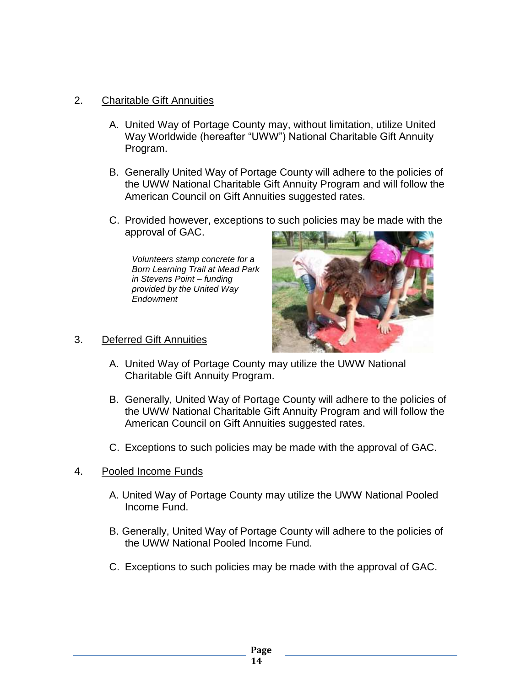#### 2. Charitable Gift Annuities

- A. United Way of Portage County may, without limitation, utilize United Way Worldwide (hereafter "UWW") National Charitable Gift Annuity Program.
- B. Generally United Way of Portage County will adhere to the policies of the UWW National Charitable Gift Annuity Program and will follow the American Council on Gift Annuities suggested rates.
- C. Provided however, exceptions to such policies may be made with the approval of GAC.

*Volunteers stamp concrete for a Born Learning Trail at Mead Park in Stevens Point – funding provided by the United Way Endowment*



### 3. Deferred Gift Annuities

- A. United Way of Portage County may utilize the UWW National Charitable Gift Annuity Program.
- B. Generally, United Way of Portage County will adhere to the policies of the UWW National Charitable Gift Annuity Program and will follow the American Council on Gift Annuities suggested rates.
- C. Exceptions to such policies may be made with the approval of GAC.
- 4. Pooled Income Funds
	- A. United Way of Portage County may utilize the UWW National Pooled Income Fund.
	- B. Generally, United Way of Portage County will adhere to the policies of the UWW National Pooled Income Fund.
	- C. Exceptions to such policies may be made with the approval of GAC.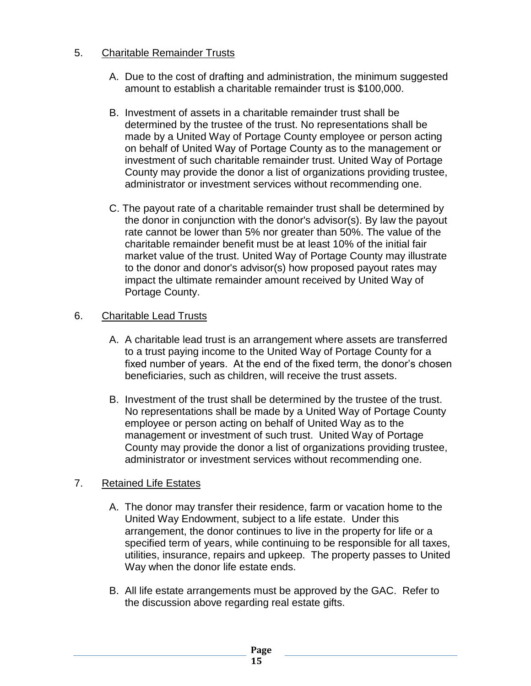### 5. Charitable Remainder Trusts

- A. Due to the cost of drafting and administration, the minimum suggested amount to establish a charitable remainder trust is \$100,000.
- B. Investment of assets in a charitable remainder trust shall be determined by the trustee of the trust. No representations shall be made by a United Way of Portage County employee or person acting on behalf of United Way of Portage County as to the management or investment of such charitable remainder trust. United Way of Portage County may provide the donor a list of organizations providing trustee, administrator or investment services without recommending one.
- C. The payout rate of a charitable remainder trust shall be determined by the donor in conjunction with the donor's advisor(s). By law the payout rate cannot be lower than 5% nor greater than 50%. The value of the charitable remainder benefit must be at least 10% of the initial fair market value of the trust. United Way of Portage County may illustrate to the donor and donor's advisor(s) how proposed payout rates may impact the ultimate remainder amount received by United Way of Portage County.

### 6. Charitable Lead Trusts

- A. A charitable lead trust is an arrangement where assets are transferred to a trust paying income to the United Way of Portage County for a fixed number of years. At the end of the fixed term, the donor's chosen beneficiaries, such as children, will receive the trust assets.
- B. Investment of the trust shall be determined by the trustee of the trust. No representations shall be made by a United Way of Portage County employee or person acting on behalf of United Way as to the management or investment of such trust. United Way of Portage County may provide the donor a list of organizations providing trustee, administrator or investment services without recommending one.

### 7. Retained Life Estates

- A. The donor may transfer their residence, farm or vacation home to the United Way Endowment, subject to a life estate. Under this arrangement, the donor continues to live in the property for life or a specified term of years, while continuing to be responsible for all taxes, utilities, insurance, repairs and upkeep. The property passes to United Way when the donor life estate ends.
- B. All life estate arrangements must be approved by the GAC. Refer to the discussion above regarding real estate gifts.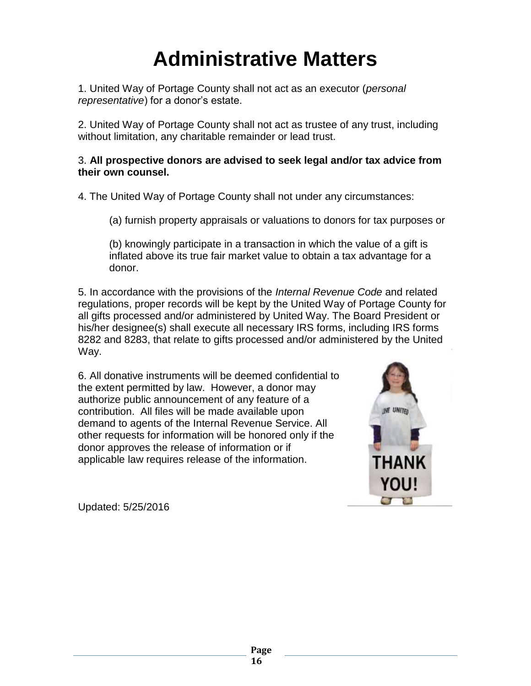# **Administrative Matters**

1. United Way of Portage County shall not act as an executor (*personal representative*) for a donor's estate.

2. United Way of Portage County shall not act as trustee of any trust, including without limitation, any charitable remainder or lead trust.

### 3. **All prospective donors are advised to seek legal and/or tax advice from their own counsel.**

4. The United Way of Portage County shall not under any circumstances:

(a) furnish property appraisals or valuations to donors for tax purposes or

(b) knowingly participate in a transaction in which the value of a gift is inflated above its true fair market value to obtain a tax advantage for a donor.

5. In accordance with the provisions of the *Internal Revenue Code* and related regulations, proper records will be kept by the United Way of Portage County for all gifts processed and/or administered by United Way. The Board President or his/her designee(s) shall execute all necessary IRS forms, including IRS forms 8282 and 8283, that relate to gifts processed and/or administered by the United Way.

6. All donative instruments will be deemed confidential to the extent permitted by law. However, a donor may authorize public announcement of any feature of a contribution. All files will be made available upon demand to agents of the Internal Revenue Service. All other requests for information will be honored only if the donor approves the release of information or if applicable law requires release of the information.



Updated: 5/25/2016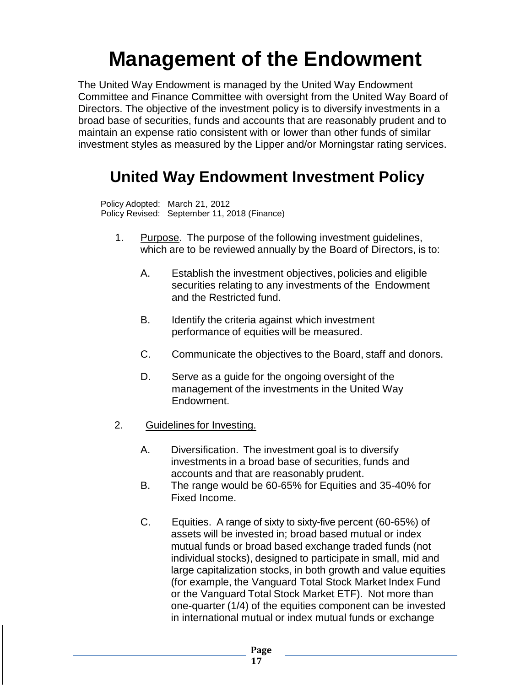# **Management of the Endowment**

The United Way Endowment is managed by the United Way Endowment Committee and Finance Committee with oversight from the United Way Board of Directors. The objective of the investment policy is to diversify investments in a broad base of securities, funds and accounts that are reasonably prudent and to maintain an expense ratio consistent with or lower than other funds of similar investment styles as measured by the Lipper and/or Morningstar rating services.

# **United Way Endowment Investment Policy**

Policy Adopted: March 21, 2012 Policy Revised: September 11, 2018 (Finance)

- 1. Purpose. The purpose of the following investment guidelines, which are to be reviewed annually by the Board of Directors, is to:
	- A. Establish the investment objectives, policies and eligible securities relating to any investments of the Endowment and the Restricted fund.
	- B. Identify the criteria against which investment performance of equities will be measured.
	- C. Communicate the objectives to the Board, staff and donors.
	- D. Serve as a guide for the ongoing oversight of the management of the investments in the United Way Endowment.
- 2. Guidelines for Investing.
	- A. Diversification. The investment goal is to diversify investments in a broad base of securities, funds and accounts and that are reasonably prudent.
	- B. The range would be 60-65% for Equities and 35-40% for Fixed Income.
	- C. Equities. A range of sixty to sixty-five percent (60-65%) of assets will be invested in; broad based mutual or index mutual funds or broad based exchange traded funds (not individual stocks), designed to participate in small, mid and large capitalization stocks, in both growth and value equities (for example, the Vanguard Total Stock Market Index Fund or the Vanguard Total Stock Market ETF). Not more than one-quarter (1/4) of the equities component can be invested in international mutual or index mutual funds or exchange